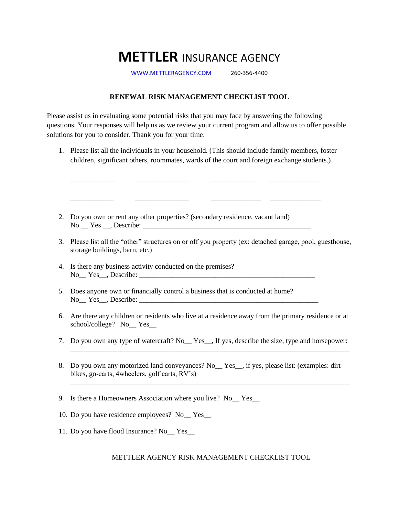## **METTLER** INSURANCE AGENCY

[WWW.METTLERAGENCY.COM](http://www.mettleragency.com/) 260-356-4400

## **RENEWAL RISK MANAGEMENT CHECKLIST TOOL**

Please assist us in evaluating some potential risks that you may face by answering the following questions. Your responses will help us as we review your current program and allow us to offer possible solutions for you to consider. Thank you for your time.

1. Please list all the individuals in your household. (This should include family members, foster children, significant others, roommates, wards of the court and foreign exchange students.)

\_\_\_\_\_\_\_\_\_\_\_\_\_ \_\_\_\_\_\_\_\_\_\_\_\_\_\_\_ \_\_\_\_\_\_\_\_\_\_\_\_\_ \_\_\_\_\_\_\_\_\_\_\_\_\_\_

\_\_\_\_\_\_\_\_\_\_\_\_ \_\_\_\_\_\_\_\_\_\_\_\_\_\_\_ \_\_\_\_\_\_\_\_\_\_\_\_\_\_ \_\_\_\_\_\_\_\_\_\_\_\_\_\_

- 2. Do you own or rent any other properties? (secondary residence, vacant land) No \_\_ Yes \_\_, Describe: \_\_\_\_\_\_\_\_\_\_\_\_\_\_\_\_\_\_\_\_\_\_\_\_\_\_\_\_\_\_\_\_\_\_\_\_\_\_\_\_\_\_\_\_\_\_\_
- 3. Please list all the "other" structures on or off you property (ex: detached garage, pool, guesthouse, storage buildings, barn, etc.)
- 4. Is there any business activity conducted on the premises? No Yes , Describe:
- 5. Does anyone own or financially control a business that is conducted at home? No\_\_ Yes\_\_, Describe: \_\_\_\_\_\_\_\_\_\_\_\_\_\_\_\_\_\_\_\_\_\_\_\_\_\_\_\_\_\_\_\_\_\_\_\_\_\_\_\_\_\_\_\_\_\_\_\_\_\_
- 6. Are there any children or residents who live at a residence away from the primary residence or at school/college? No\_\_ Yes\_\_
- 7. Do you own any type of watercraft? No<sub>nd</sub> Yes<sub>n, If yes, describe the size, type and horsepower:</sub>

\_\_\_\_\_\_\_\_\_\_\_\_\_\_\_\_\_\_\_\_\_\_\_\_\_\_\_\_\_\_\_\_\_\_\_\_\_\_\_\_\_\_\_\_\_\_\_\_\_\_\_\_\_\_\_\_\_\_\_\_\_\_\_\_\_\_\_\_\_\_\_\_\_\_\_\_\_\_

\_\_\_\_\_\_\_\_\_\_\_\_\_\_\_\_\_\_\_\_\_\_\_\_\_\_\_\_\_\_\_\_\_\_\_\_\_\_\_\_\_\_\_\_\_\_\_\_\_\_\_\_\_\_\_\_\_\_\_\_\_\_\_\_\_\_\_\_\_\_\_\_\_\_\_\_\_\_

- 8. Do you own any motorized land conveyances? No<sub>nd</sub> Yes<sub>n</sub>, if yes, please list: (examples: dirt bikes, go-carts, 4wheelers, golf carts, RV's)
- 9. Is there a Homeowners Association where you live? No Yes
- 10. Do you have residence employees? No\_\_ Yes\_\_
- 11. Do you have flood Insurance? No\_\_ Yes\_\_

## METTLER AGENCY RISK MANAGEMENT CHECKLIST TOOL